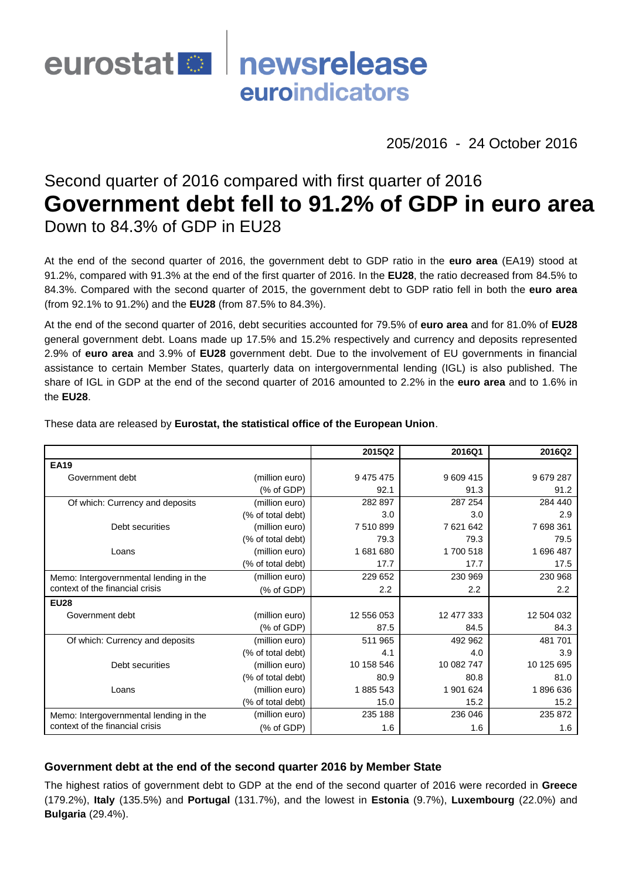

205/2016 - 24 October 2016

# Second quarter of 2016 compared with first quarter of 2016 **Government debt fell to 91.2% of GDP in euro area** Down to 84.3% of GDP in EU28

At the end of the second quarter of 2016, the government debt to GDP ratio in the **euro area** (EA19) stood at 91.2%, compared with 91.3% at the end of the first quarter of 2016. In the **EU28**, the ratio decreased from 84.5% to 84.3%. Compared with the second quarter of 2015, the government debt to GDP ratio fell in both the **euro area** (from 92.1% to 91.2%) and the **EU28** (from 87.5% to 84.3%).

At the end of the second quarter of 2016, debt securities accounted for 79.5% of **euro area** and for 81.0% of **EU28** general government debt. Loans made up 17.5% and 15.2% respectively and currency and deposits represented 2.9% of **euro area** and 3.9% of **EU28** government debt. Due to the involvement of EU governments in financial assistance to certain Member States, quarterly data on intergovernmental lending (IGL) is also published. The share of IGL in GDP at the end of the second quarter of 2016 amounted to 2.2% in the **euro area** and to 1.6% in the **EU28**.

|                                        |                   | 2015Q2     | 2016Q1     | 2016Q2     |
|----------------------------------------|-------------------|------------|------------|------------|
| <b>EA19</b>                            |                   |            |            |            |
| Government debt                        | (million euro)    | 9 475 475  | 9 609 415  | 9679287    |
|                                        | (% of GDP)        | 92.1       | 91.3       | 91.2       |
| Of which: Currency and deposits        | (million euro)    | 282 897    | 287 254    | 284 440    |
|                                        | (% of total debt) | 3.0        | 3.0        | 2.9        |
| Debt securities                        | (million euro)    | 7510899    | 7 621 642  | 7 698 361  |
|                                        | (% of total debt) | 79.3       | 79.3       | 79.5       |
| Loans                                  | (million euro)    | 1681680    | 1700 518   | 1696487    |
|                                        | (% of total debt) | 17.7       | 17.7       | 17.5       |
| Memo: Intergovernmental lending in the | (million euro)    | 229 652    | 230 969    | 230 968    |
| context of the financial crisis        | (% of GDP)        | 2.2        | 2.2        | 2.2        |
| <b>EU28</b>                            |                   |            |            |            |
| Government debt                        | (million euro)    | 12 556 053 | 12 477 333 | 12 504 032 |
|                                        | (% of GDP)        | 87.5       | 84.5       | 84.3       |
| Of which: Currency and deposits        | (million euro)    | 511 965    | 492 962    | 481 701    |
|                                        | (% of total debt) | 4.1        | 4.0        | 3.9        |
| Debt securities                        | (million euro)    | 10 158 546 | 10 082 747 | 10 125 695 |
|                                        | (% of total debt) | 80.9       | 80.8       | 81.0       |
| Loans                                  | (million euro)    | 1885 543   | 1 901 624  | 1896636    |
|                                        | (% of total debt) | 15.0       | 15.2       | 15.2       |
| Memo: Intergovernmental lending in the | (million euro)    | 235 188    | 236 046    | 235 872    |
| context of the financial crisis        | (% of GDP)        | 1.6        | 1.6        | 1.6        |

These data are released by **Eurostat, the statistical office of the European Union**.

### **Government debt at the end of the second quarter 2016 by Member State**

The highest ratios of government debt to GDP at the end of the second quarter of 2016 were recorded in **Greece** (179.2%), **Italy** (135.5%) and **Portugal** (131.7%), and the lowest in **Estonia** (9.7%), **Luxembourg** (22.0%) and **Bulgaria** (29.4%).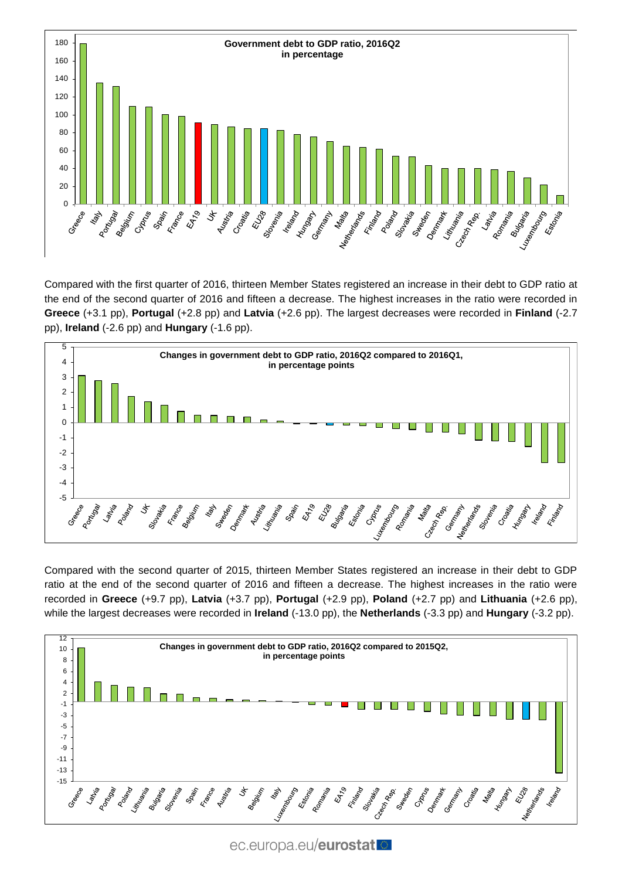

Compared with the first quarter of 2016, thirteen Member States registered an increase in their debt to GDP ratio at the end of the second quarter of 2016 and fifteen a decrease. The highest increases in the ratio were recorded in **Greece** (+3.1 pp), **Portugal** (+2.8 pp) and **Latvia** (+2.6 pp). The largest decreases were recorded in **Finland** (-2.7 pp), **Ireland** (-2.6 pp) and **Hungary** (-1.6 pp).



Compared with the second quarter of 2015, thirteen Member States registered an increase in their debt to GDP ratio at the end of the second quarter of 2016 and fifteen a decrease. The highest increases in the ratio were recorded in **Greece** (+9.7 pp), **Latvia** (+3.7 pp), **Portugal** (+2.9 pp), **Poland** (+2.7 pp) and **Lithuania** (+2.6 pp), while the largest decreases were recorded in **Ireland** (-13.0 pp), the **Netherlands** (-3.3 pp) and **Hungary** (-3.2 pp).



ec.europa.eu/eurostat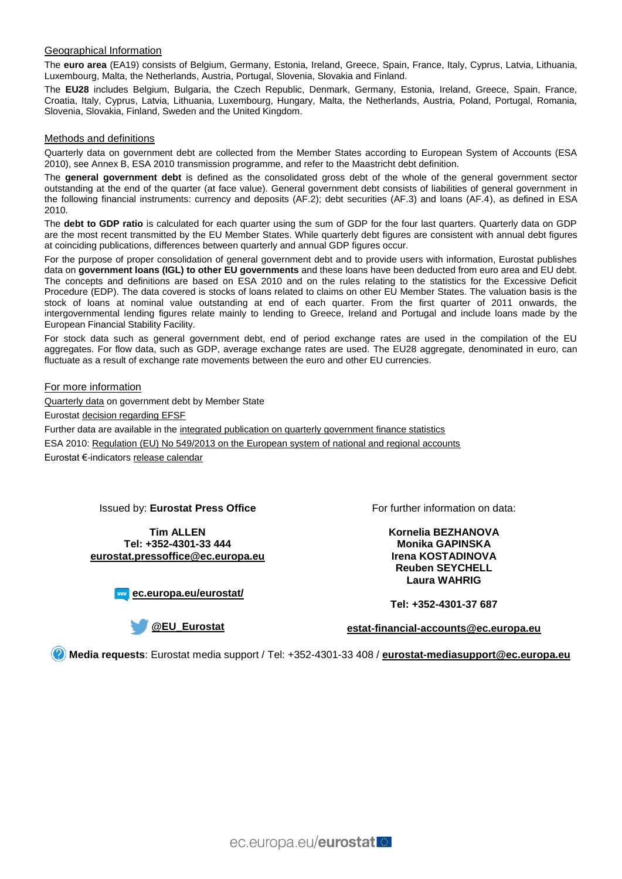#### Geographical Information

The **euro area** (EA19) consists of Belgium, Germany, Estonia, Ireland, Greece, Spain, France, Italy, Cyprus, Latvia, Lithuania, Luxembourg, Malta, the Netherlands, Austria, Portugal, Slovenia, Slovakia and Finland.

The **EU28** includes Belgium, Bulgaria, the Czech Republic, Denmark, Germany, Estonia, Ireland, Greece, Spain, France, Croatia, Italy, Cyprus, Latvia, Lithuania, Luxembourg, Hungary, Malta, the Netherlands, Austria, Poland, Portugal, Romania, Slovenia, Slovakia, Finland, Sweden and the United Kingdom.

#### Methods and definitions

Quarterly data on government debt are collected from the Member States according to European System of Accounts (ESA 2010), see Annex B, ESA 2010 transmission programme, and refer to the Maastricht debt definition.

The **general government debt** is defined as the consolidated gross debt of the whole of the general government sector outstanding at the end of the quarter (at face value). General government debt consists of liabilities of general government in the following financial instruments: currency and deposits (AF.2); debt securities (AF.3) and loans (AF.4), as defined in ESA 2010.

The **debt to GDP ratio** is calculated for each quarter using the sum of GDP for the four last quarters. Quarterly data on GDP are the most recent transmitted by the EU Member States. While quarterly debt figures are consistent with annual debt figures at coinciding publications, differences between quarterly and annual GDP figures occur.

For the purpose of proper consolidation of general government debt and to provide users with information, Eurostat publishes data on **government loans (IGL) to other EU governments** and these loans have been deducted from euro area and EU debt. The concepts and definitions are based on ESA 2010 and on the rules relating to the statistics for the Excessive Deficit Procedure (EDP). The data covered is stocks of loans related to claims on other EU Member States. The valuation basis is the stock of loans at nominal value outstanding at end of each quarter. From the first quarter of 2011 onwards, the intergovernmental lending figures relate mainly to lending to Greece, Ireland and Portugal and include loans made by the European Financial Stability Facility.

For stock data such as general government debt, end of period exchange rates are used in the compilation of the EU aggregates. For flow data, such as GDP, average exchange rates are used. The EU28 aggregate, denominated in euro, can fluctuate as a result of exchange rate movements between the euro and other EU currencies.

#### For more information

[Quarterly data](http://ec.europa.eu/eurostat/web/government-finance-statistics/data/database) on government debt by Member State

Eurosta[t decision regarding EFSF](http://ec.europa.eu/eurostat/en/web/products-press-releases/-/2-27012011-AP)

Further data are available in the [integrated publication on quarterly government finance statistics](http://ec.europa.eu/eurostat/web/government-finance-statistics/data/)

ESA 2010: [Regulation \(EU\) No 549/2013 on the European system of national and regional accounts](http://eur-lex.europa.eu/legal-content/EN/TXT/?qid=1405675686774&uri=CELEX:32013R0549)

Eurostat €-indicator[s release calendar](http://ec.europa.eu/eurostat/news/release-calendar)

#### Issued by: **Eurostat Press Office**

**Tim ALLEN Tel: +352-4301-33 444 [eurostat.pressoffice@ec.europa.eu](mailto:eurostat.pressoffice@ec.europa.eu)**

**[ec.europa.eu/eurostat/](http://ec.europa.eu/eurostat/)**

For further information on data:

**Kornelia BEZHANOVA Monika GAPINSKA Irena KOSTADINOVA Reuben SEYCHELL Laura WAHRIG**

**Tel: +352-4301-37 687**

**[@EU\\_Eurostat](http://twitter.com/EU_Eurostat)**

**[estat-financial-accounts@ec.europa.eu](mailto:estat-financial-accounts@ec.europa.eu)**

**Media requests**: Eurostat media support / Tel: +352-4301-33 408 / **[eurostat-mediasupport@ec.europa.eu](mailto:eurostat-mediasupport@ec.europa.eu)**